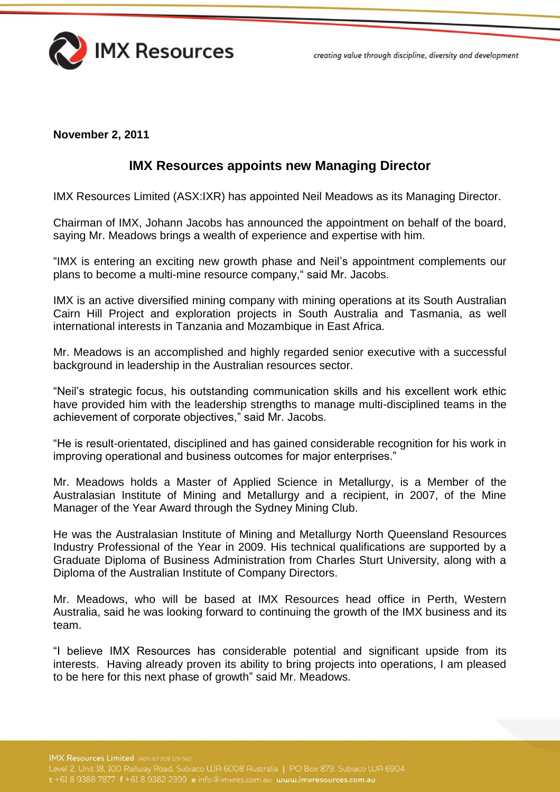creating value through discipline, diversity and development



**November 2, 2011**

## **IMX Resources appoints new Managing Director**

IMX Resources Limited (ASX:IXR) has appointed Neil Meadows as its Managing Director.

Chairman of IMX, Johann Jacobs has announced the appointment on behalf of the board, saying Mr. Meadows brings a wealth of experience and expertise with him.

"IMX is entering an exciting new growth phase and Neil's appointment complements our plans to become a multi-mine resource company," said Mr. Jacobs.

IMX is an active diversified mining company with mining operations at its South Australian Cairn Hill Project and exploration projects in South Australia and Tasmania, as well international interests in Tanzania and Mozambique in East Africa.

Mr. Meadows is an accomplished and highly regarded senior executive with a successful background in leadership in the Australian resources sector.

"Neil's strategic focus, his outstanding communication skills and his excellent work ethic have provided him with the leadership strengths to manage multi-disciplined teams in the achievement of corporate objectives," said Mr. Jacobs.

"He is result-orientated, disciplined and has gained considerable recognition for his work in improving operational and business outcomes for major enterprises."

Mr. Meadows holds a Master of Applied Science in Metallurgy, is a Member of the Australasian Institute of Mining and Metallurgy and a recipient, in 2007, of the Mine Manager of the Year Award through the Sydney Mining Club.

He was the Australasian Institute of Mining and Metallurgy North Queensland Resources Industry Professional of the Year in 2009. His technical qualifications are supported by a Graduate Diploma of Business Administration from Charles Sturt University, along with a Diploma of the Australian Institute of Company Directors.

Mr. Meadows, who will be based at IMX Resources head office in Perth, Western Australia, said he was looking forward to continuing the growth of the IMX business and its team.

"I believe IMX Resources has considerable potential and significant upside from its interests. Having already proven its ability to bring projects into operations, I am pleased to be here for this next phase of growth" said Mr. Meadows.

IMX Resources Limited ABN 67 009 129 560 Level 2, Unit 18, 100 Railway Road, Subiaco WA 6008 Australia | PO Box 879, Subiaco WA 6904 t +61 8 9388 7877 f +61 8 9382 2399 e info@imxres.com.au www.imxresources.com.au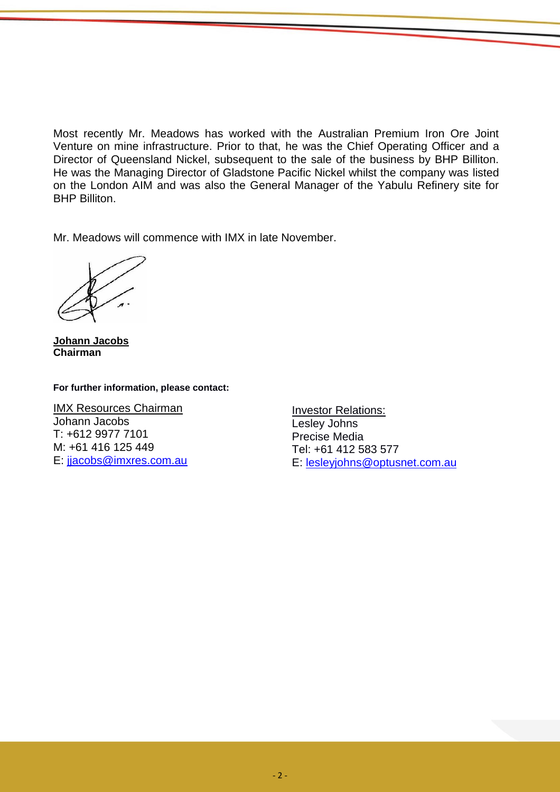Most recently Mr. Meadows has worked with the Australian Premium Iron Ore Joint Venture on mine infrastructure. Prior to that, he was the Chief Operating Officer and a Director of Queensland Nickel, subsequent to the sale of the business by BHP Billiton. He was the Managing Director of Gladstone Pacific Nickel whilst the company was listed on the London AIM and was also the General Manager of the Yabulu Refinery site for BHP Billiton.

Mr. Meadows will commence with IMX in late November.

**Johann Jacobs Chairman**

## **For further information, please contact:**

IMX Resources Chairman Johann Jacobs T: +612 9977 7101 M: +61 416 125 449 E: [jjacobs@imxres.com.au](mailto:jjacobs@imxres.com.au)

Investor Relations: Lesley Johns Precise Media Tel: +61 412 583 577 E: [lesleyjohns@optusnet.com.au](mailto:lesleyjohns@optusnet.com.au)